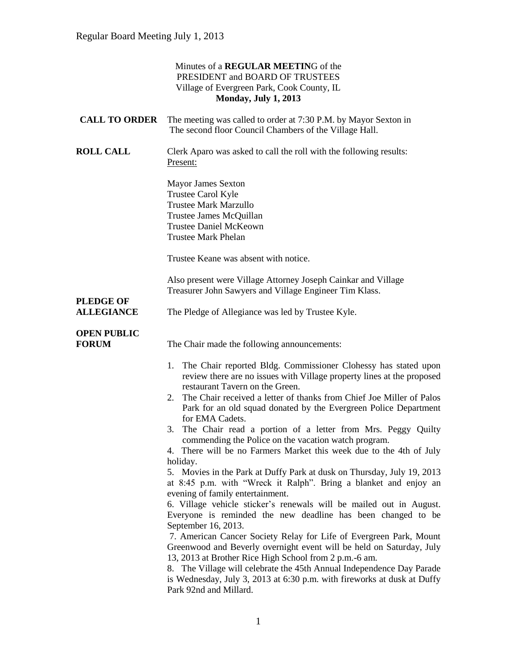|                                    | Minutes of a <b>REGULAR MEETING</b> of the<br>PRESIDENT and BOARD OF TRUSTEES                                                                                                                                                                                                                                                                                                                                                                                                                                                                                                                                                                                                                                                                                                                                                                                                                                                                                                                                                                               |
|------------------------------------|-------------------------------------------------------------------------------------------------------------------------------------------------------------------------------------------------------------------------------------------------------------------------------------------------------------------------------------------------------------------------------------------------------------------------------------------------------------------------------------------------------------------------------------------------------------------------------------------------------------------------------------------------------------------------------------------------------------------------------------------------------------------------------------------------------------------------------------------------------------------------------------------------------------------------------------------------------------------------------------------------------------------------------------------------------------|
|                                    | Village of Evergreen Park, Cook County, IL                                                                                                                                                                                                                                                                                                                                                                                                                                                                                                                                                                                                                                                                                                                                                                                                                                                                                                                                                                                                                  |
|                                    | <b>Monday, July 1, 2013</b>                                                                                                                                                                                                                                                                                                                                                                                                                                                                                                                                                                                                                                                                                                                                                                                                                                                                                                                                                                                                                                 |
| <b>CALL TO ORDER</b>               | The meeting was called to order at 7:30 P.M. by Mayor Sexton in<br>The second floor Council Chambers of the Village Hall.                                                                                                                                                                                                                                                                                                                                                                                                                                                                                                                                                                                                                                                                                                                                                                                                                                                                                                                                   |
| <b>ROLL CALL</b>                   | Clerk Aparo was asked to call the roll with the following results:<br>Present:                                                                                                                                                                                                                                                                                                                                                                                                                                                                                                                                                                                                                                                                                                                                                                                                                                                                                                                                                                              |
|                                    | <b>Mayor James Sexton</b><br>Trustee Carol Kyle<br><b>Trustee Mark Marzullo</b><br>Trustee James McQuillan<br><b>Trustee Daniel McKeown</b><br><b>Trustee Mark Phelan</b>                                                                                                                                                                                                                                                                                                                                                                                                                                                                                                                                                                                                                                                                                                                                                                                                                                                                                   |
|                                    | Trustee Keane was absent with notice.                                                                                                                                                                                                                                                                                                                                                                                                                                                                                                                                                                                                                                                                                                                                                                                                                                                                                                                                                                                                                       |
| <b>PLEDGE OF</b>                   | Also present were Village Attorney Joseph Cainkar and Village<br>Treasurer John Sawyers and Village Engineer Tim Klass.                                                                                                                                                                                                                                                                                                                                                                                                                                                                                                                                                                                                                                                                                                                                                                                                                                                                                                                                     |
| <b>ALLEGIANCE</b>                  | The Pledge of Allegiance was led by Trustee Kyle.                                                                                                                                                                                                                                                                                                                                                                                                                                                                                                                                                                                                                                                                                                                                                                                                                                                                                                                                                                                                           |
| <b>OPEN PUBLIC</b><br><b>FORUM</b> | The Chair made the following announcements:                                                                                                                                                                                                                                                                                                                                                                                                                                                                                                                                                                                                                                                                                                                                                                                                                                                                                                                                                                                                                 |
|                                    | 1. The Chair reported Bldg. Commissioner Clohessy has stated upon<br>review there are no issues with Village property lines at the proposed<br>restaurant Tavern on the Green.<br>2. The Chair received a letter of thanks from Chief Joe Miller of Palos<br>Park for an old squad donated by the Evergreen Police Department<br>for EMA Cadets.<br>3. The Chair read a portion of a letter from Mrs. Peggy Quilty<br>commending the Police on the vacation watch program.<br>4. There will be no Farmers Market this week due to the 4th of July<br>holiday.<br>5. Movies in the Park at Duffy Park at dusk on Thursday, July 19, 2013<br>at 8:45 p.m. with "Wreck it Ralph". Bring a blanket and enjoy an<br>evening of family entertainment.<br>6. Village vehicle sticker's renewals will be mailed out in August.<br>Everyone is reminded the new deadline has been changed to be<br>September 16, 2013.<br>7. American Cancer Society Relay for Life of Evergreen Park, Mount<br>Greenwood and Beverly overnight event will be held on Saturday, July |
|                                    | 13, 2013 at Brother Rice High School from 2 p.m.-6 am.<br>8. The Village will celebrate the 45th Annual Independence Day Parade<br>is Wednesday, July 3, 2013 at 6:30 p.m. with fireworks at dusk at Duffy<br>Park 92nd and Millard.                                                                                                                                                                                                                                                                                                                                                                                                                                                                                                                                                                                                                                                                                                                                                                                                                        |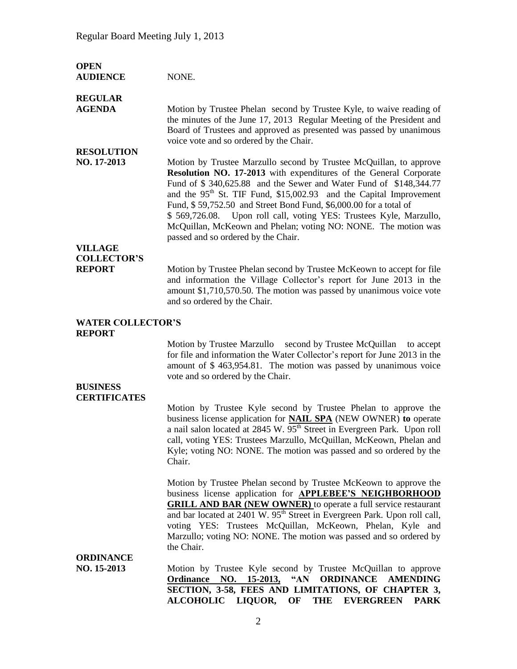| <b>OPEN</b><br><b>AUDIENCE</b>                               | NONE.                                                                                                                                                                                                                                                                                                                                                                                                                                                                                                                                              |
|--------------------------------------------------------------|----------------------------------------------------------------------------------------------------------------------------------------------------------------------------------------------------------------------------------------------------------------------------------------------------------------------------------------------------------------------------------------------------------------------------------------------------------------------------------------------------------------------------------------------------|
| <b>REGULAR</b><br><b>AGENDA</b>                              | Motion by Trustee Phelan second by Trustee Kyle, to waive reading of<br>the minutes of the June 17, 2013 Regular Meeting of the President and<br>Board of Trustees and approved as presented was passed by unanimous<br>voice vote and so ordered by the Chair.                                                                                                                                                                                                                                                                                    |
| <b>RESOLUTION</b><br>NO. 17-2013                             | Motion by Trustee Marzullo second by Trustee McQuillan, to approve<br>Resolution NO. 17-2013 with expenditures of the General Corporate<br>Fund of \$340,625.88 and the Sewer and Water Fund of \$148,344.77<br>and the 95 <sup>th</sup> St. TIF Fund, \$15,002.93 and the Capital Improvement<br>Fund, \$59,752.50 and Street Bond Fund, \$6,000.00 for a total of<br>\$569,726.08. Upon roll call, voting YES: Trustees Kyle, Marzullo,<br>McQuillan, McKeown and Phelan; voting NO: NONE. The motion was<br>passed and so ordered by the Chair. |
| <b>VILLAGE</b><br><b>COLLECTOR'S</b><br><b>REPORT</b>        | Motion by Trustee Phelan second by Trustee McKeown to accept for file<br>and information the Village Collector's report for June 2013 in the<br>amount \$1,710,570.50. The motion was passed by unanimous voice vote<br>and so ordered by the Chair.                                                                                                                                                                                                                                                                                               |
| <b>WATER COLLECTOR'S</b><br><b>REPORT</b><br><b>BUSINESS</b> | Motion by Trustee Marzullo second by Trustee McQuillan<br>to accept<br>for file and information the Water Collector's report for June 2013 in the<br>amount of \$463,954.81. The motion was passed by unanimous voice<br>vote and so ordered by the Chair.                                                                                                                                                                                                                                                                                         |
| <b>CERTIFICATES</b>                                          | Motion by Trustee Kyle second by Trustee Phelan to approve the<br>business license application for <b>NAIL SPA</b> (NEW OWNER) to operate<br>a nail salon located at 2845 W. 95 <sup>th</sup> Street in Evergreen Park. Upon roll<br>call, voting YES: Trustees Marzullo, McQuillan, McKeown, Phelan and<br>Kyle; voting NO: NONE. The motion was passed and so ordered by the<br>Chair.                                                                                                                                                           |
|                                                              | Motion by Trustee Phelan second by Trustee McKeown to approve the<br>business license application for <b>APPLEBEE'S</b> NEIGHBORHOOD<br><b>GRILL AND BAR (NEW OWNER)</b> to operate a full service restaurant<br>and bar located at 2401 W. 95 <sup>th</sup> Street in Evergreen Park. Upon roll call,<br>voting YES: Trustees McQuillan, McKeown, Phelan, Kyle and<br>Marzullo; voting NO: NONE. The motion was passed and so ordered by<br>the Chair.                                                                                            |
| <b>ORDINANCE</b><br>NO. 15-2013                              | Motion by Trustee Kyle second by Trustee McQuillan to approve<br><b>Ordinance NO. 15-2013,</b><br>$\mathbf{A}$ N<br><b>ORDINANCE</b><br><b>AMENDING</b><br>SECTION, 3-58, FEES AND LIMITATIONS, OF CHAPTER 3,<br>LIQUOR,<br><b>ALCOHOLIC</b><br>OF<br><b>THE</b><br><b>EVERGREEN</b><br><b>PARK</b>                                                                                                                                                                                                                                                |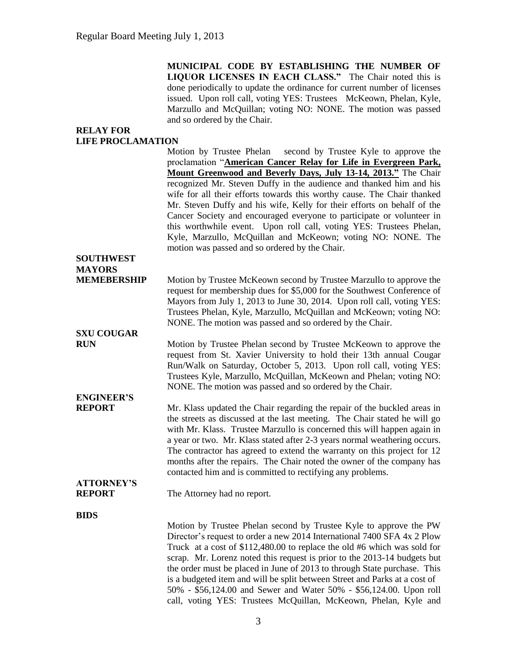**MUNICIPAL CODE BY ESTABLISHING THE NUMBER OF LIQUOR LICENSES IN EACH CLASS."** The Chair noted this is done periodically to update the ordinance for current number of licenses issued. Upon roll call, voting YES: Trustees McKeown, Phelan, Kyle, Marzullo and McQuillan; voting NO: NONE. The motion was passed and so ordered by the Chair.

## **RELAY FOR LIFE PROCLAMATION**

|                    | Motion by Trustee Phelan second by Trustee Kyle to approve the             |
|--------------------|----------------------------------------------------------------------------|
|                    | proclamation "American Cancer Relay for Life in Evergreen Park,            |
|                    | Mount Greenwood and Beverly Days, July 13-14, 2013." The Chair             |
|                    | recognized Mr. Steven Duffy in the audience and thanked him and his        |
|                    | wife for all their efforts towards this worthy cause. The Chair thanked    |
|                    | Mr. Steven Duffy and his wife, Kelly for their efforts on behalf of the    |
|                    | Cancer Society and encouraged everyone to participate or volunteer in      |
|                    | this worthwhile event. Upon roll call, voting YES: Trustees Phelan,        |
|                    | Kyle, Marzullo, McQuillan and McKeown; voting NO: NONE. The                |
|                    | motion was passed and so ordered by the Chair.                             |
| <b>SOUTHWEST</b>   |                                                                            |
| <b>MAYORS</b>      |                                                                            |
| <b>MEMEBERSHIP</b> | Motion by Trustee McKeown second by Trustee Marzullo to approve the        |
|                    | request for membership dues for \$5,000 for the Southwest Conference of    |
|                    | Mayors from July 1, 2013 to June 30, 2014. Upon roll call, voting YES:     |
|                    | Trustees Phelan, Kyle, Marzullo, McQuillan and McKeown; voting NO:         |
|                    | NONE. The motion was passed and so ordered by the Chair.                   |
| <b>SXU COUGAR</b>  |                                                                            |
| <b>RUN</b>         | Motion by Trustee Phelan second by Trustee McKeown to approve the          |
|                    | request from St. Xavier University to hold their 13th annual Cougar        |
|                    | Run/Walk on Saturday, October 5, 2013. Upon roll call, voting YES:         |
|                    |                                                                            |
|                    | Trustees Kyle, Marzullo, McQuillan, McKeown and Phelan; voting NO:         |
|                    | NONE. The motion was passed and so ordered by the Chair.                   |
| <b>ENGINEER'S</b>  |                                                                            |
| <b>REPORT</b>      | Mr. Klass updated the Chair regarding the repair of the buckled areas in   |
|                    | the streets as discussed at the last meeting. The Chair stated he will go  |
|                    | with Mr. Klass. Trustee Marzullo is concerned this will happen again in    |
|                    | a year or two. Mr. Klass stated after 2-3 years normal weathering occurs.  |
|                    | The contractor has agreed to extend the warranty on this project for 12    |
|                    | months after the repairs. The Chair noted the owner of the company has     |
|                    | contacted him and is committed to rectifying any problems.                 |
| <b>ATTORNEY'S</b>  |                                                                            |
| <b>REPORT</b>      | The Attorney had no report.                                                |
| <b>BIDS</b>        |                                                                            |
|                    | Motion by Trustee Phelan second by Trustee Kyle to approve the PW          |
|                    | Director's request to order a new 2014 International 7400 SFA 4x 2 Plow    |
|                    | Truck at a cost of \$112,480.00 to replace the old #6 which was sold for   |
|                    | scrap. Mr. Lorenz noted this request is prior to the 2013-14 budgets but   |
|                    | the order must be placed in June of 2013 to through State purchase. This   |
|                    | is a budgeted item and will be split between Street and Parks at a cost of |
|                    | 50% - \$56,124.00 and Sewer and Water 50% - \$56,124.00. Upon roll         |
|                    |                                                                            |

call, voting YES: Trustees McQuillan, McKeown, Phelan, Kyle and